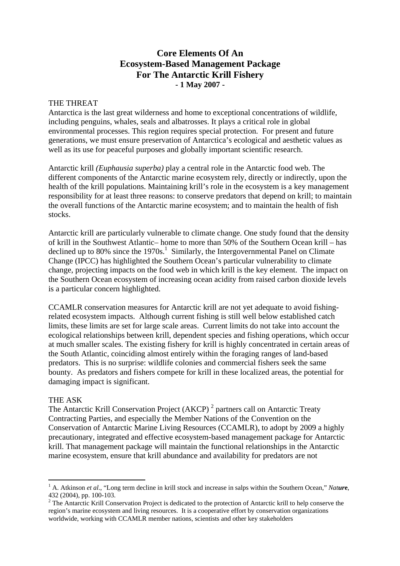## **Core Elements Of An Ecosystem-Based Management Package For The Antarctic Krill Fishery - 1 May 2007 -**

## THE THREAT

Antarctica is the last great wilderness and home to exceptional concentrations of wildlife, including penguins, whales, seals and albatrosses. It plays a critical role in global environmental processes. This region requires special protection. For present and future generations, we must ensure preservation of Antarctica's ecological and aesthetic values as well as its use for peaceful purposes and globally important scientific research.

Antarctic krill *(Euphausia superba)* play a central role in the Antarctic food web. The different components of the Antarctic marine ecosystem rely, directly or indirectly, upon the health of the krill populations. Maintaining krill's role in the ecosystem is a key management responsibility for at least three reasons: to conserve predators that depend on krill; to maintain the overall functions of the Antarctic marine ecosystem; and to maintain the health of fish stocks.

Antarctic krill are particularly vulnerable to climate change. One study found that the density of krill in the Southwest Atlantic– home to more than 50% of the Southern Ocean krill – has declined up to 80% since the  $1970s<sup>1</sup>$ . Similarly, the Intergovernmental Panel on Climate Change (IPCC) has highlighted the Southern Ocean's particular vulnerability to climate change, projecting impacts on the food web in which krill is the key element. The impact on the Southern Ocean ecosystem of increasing ocean acidity from raised carbon dioxide levels is a particular concern highlighted.

CCAMLR conservation measures for Antarctic krill are not yet adequate to avoid fishingrelated ecosystem impacts. Although current fishing is still well below established catch limits, these limits are set for large scale areas. Current limits do not take into account the ecological relationships between krill, dependent species and fishing operations, which occur at much smaller scales. The existing fishery for krill is highly concentrated in certain areas of the South Atlantic, coinciding almost entirely within the foraging ranges of land-based predators. This is no surprise: wildlife colonies and commercial fishers seek the same bounty. As predators and fishers compete for krill in these localized areas, the potential for damaging impact is significant.

## THE ASK

 $\overline{a}$ 

The Antarctic Krill Conservation Project (AKCP)<sup>2</sup> partners call on Antarctic Treaty Contracting Parties, and especially the Member Nations of the Convention on the Conservation of Antarctic Marine Living Resources (CCAMLR), to adopt by 2009 a highly precautionary, integrated and effective ecosystem-based management package for Antarctic krill. That management package will maintain the functional relationships in the Antarctic marine ecosystem, ensure that krill abundance and availability for predators are not

<sup>1</sup> A. Atkinson *et al*., "Long term decline in krill stock and increase in salps within the Southern Ocean," *Natur***e**, 432 (2004), pp. 100-103.

 $2^2$  The Antarctic Krill Conservation Project is dedicated to the protection of Antarctic krill to help conserve the region's marine ecosystem and living resources. It is a cooperative effort by conservation organizations worldwide, working with CCAMLR member nations, scientists and other key stakeholders